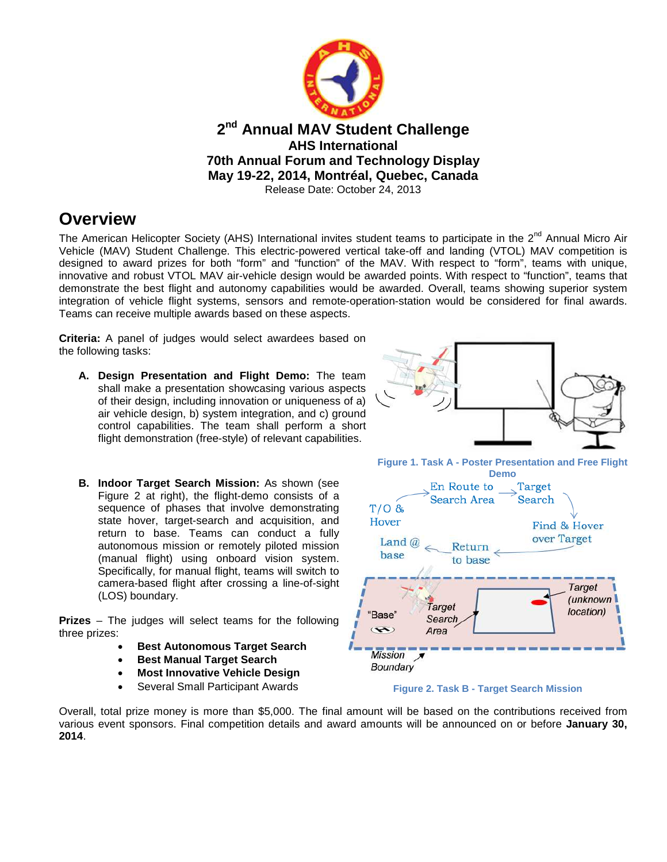

### **Overview**

The American Helicopter Society (AHS) International invites student teams to participate in the 2<sup>nd</sup> Annual Micro Air Vehicle (MAV) Student Challenge. This electric-powered vertical take-off and landing (VTOL) MAV competition is designed to award prizes for both "form" and "function" of the MAV. With respect to "form", teams with unique, innovative and robust VTOL MAV air-vehicle design would be awarded points. With respect to "function", teams that demonstrate the best flight and autonomy capabilities would be awarded. Overall, teams showing superior system integration of vehicle flight systems, sensors and remote-operation-station would be considered for final awards. Teams can receive multiple awards based on these aspects.

**Criteria:** A panel of judges would select awardees based on the following tasks:

- **A. Design Presentation and Flight Demo:** The team shall make a presentation showcasing various aspects of their design, including innovation or uniqueness of a) air vehicle design, b) system integration, and c) ground control capabilities. The team shall perform a short flight demonstration (free-style) of relevant capabilities.
- **B. Indoor Target Search Mission:** As shown (see Figure 2 at right), the flight-demo consists of a sequence of phases that involve demonstrating state hover, target-search and acquisition, and return to base. Teams can conduct a fully autonomous mission or remotely piloted mission (manual flight) using onboard vision system. Specifically, for manual flight, teams will switch to camera-based flight after crossing a line-of-sight (LOS) boundary.

**Prizes** – The judges will select teams for the following three prizes:

- **Best Autonomous Target Search**
- **Best Manual Target Search**
- **Most Innovative Vehicle Design**
- Several Small Participant Awards



**Figure 1. Task A - Poster Presentation and Free Flight**





Overall, total prize money is more than \$5,000. The final amount will be based on the contributions received from various event sponsors. Final competition details and award amounts will be announced on or before **January 30, 2014**.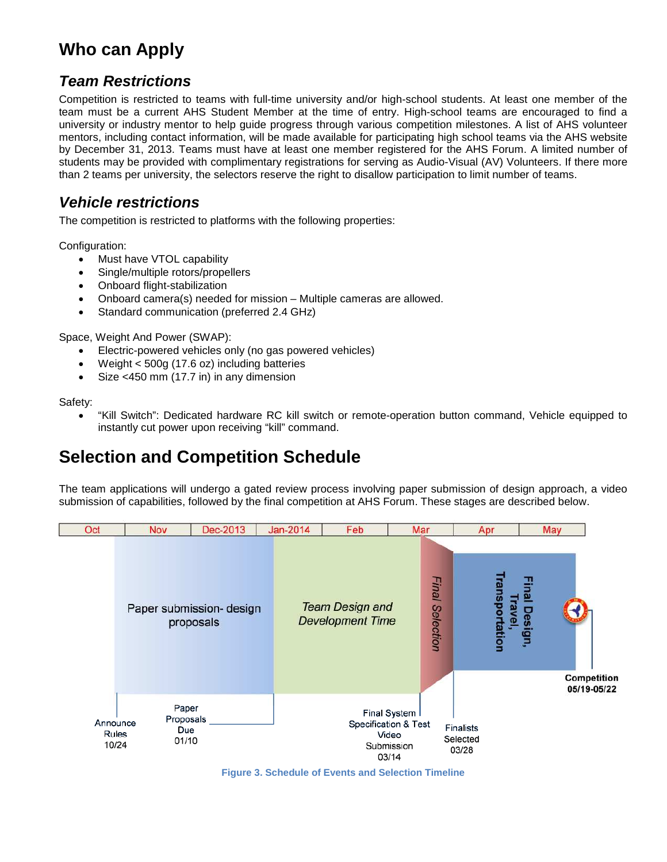# **Who can Apply**

#### *Team Restrictions*

Competition is restricted to teams with full-time university and/or high-school students. At least one member of the team must be a current AHS Student Member at the time of entry. High-school teams are encouraged to find a university or industry mentor to help guide progress through various competition milestones. A list of AHS volunteer mentors, including contact information, will be made available for participating high school teams via the AHS website by December 31, 2013. Teams must have at least one member registered for the AHS Forum. A limited number of students may be provided with complimentary registrations for serving as Audio-Visual (AV) Volunteers. If there more than 2 teams per university, the selectors reserve the right to disallow participation to limit number of teams.

#### *Vehicle restrictions*

The competition is restricted to platforms with the following properties:

Configuration:

- Must have VTOL capability
- Single/multiple rotors/propellers
- Onboard flight-stabilization
- Onboard camera(s) needed for mission Multiple cameras are allowed.
- Standard communication (preferred 2.4 GHz)

Space, Weight And Power (SWAP):

- Electric-powered vehicles only (no gas powered vehicles)
- Weight < 500g (17.6 oz) including batteries
- Size <450 mm (17.7 in) in any dimension

Safety:

 "Kill Switch": Dedicated hardware RC kill switch or remote-operation button command, Vehicle equipped to instantly cut power upon receiving "kill" command.

# **Selection and Competition Schedule**

The team applications will undergo a gated review process involving paper submission of design approach, a video submission of capabilities, followed by the final competition at AHS Forum. These stages are described below.



**Figure 3. Schedule of Events and Selection Timeline**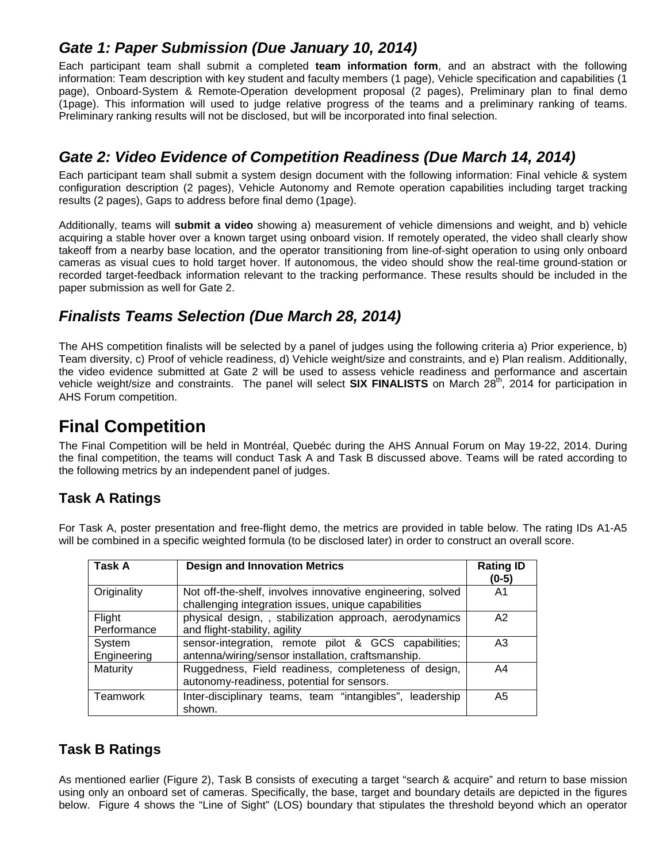#### *Gate 1: Paper Submission (Due January 10, 2014)*

Each participant team shall submit a completed **team information form**, and an abstract with the following information: Team description with key student and faculty members (1 page), Vehicle specification and capabilities (1 page), Onboard-System & Remote-Operation development proposal (2 pages), Preliminary plan to final demo (1page). This information will used to judge relative progress of the teams and a preliminary ranking of teams. Preliminary ranking results will not be disclosed, but will be incorporated into final selection.

### *Gate 2: Video Evidence of Competition Readiness (Due March 14, 2014)*

Each participant team shall submit a system design document with the following information: Final vehicle & system configuration description (2 pages), Vehicle Autonomy and Remote operation capabilities including target tracking results (2 pages), Gaps to address before final demo (1page).

Additionally, teams will **submit a video** showing a) measurement of vehicle dimensions and weight, and b) vehicle acquiring a stable hover over a known target using onboard vision. If remotely operated, the video shall clearly show takeoff from a nearby base location, and the operator transitioning from line-of-sight operation to using only onboard cameras as visual cues to hold target hover. If autonomous, the video should show the real-time ground-station or recorded target-feedback information relevant to the tracking performance. These results should be included in the paper submission as well for Gate 2.

### *Finalists Teams Selection (Due March 28, 2014)*

The AHS competition finalists will be selected by a panel of judges using the following criteria a) Prior experience, b) Team diversity, c) Proof of vehicle readiness, d) Vehicle weight/size and constraints, and e) Plan realism. Additionally, the video evidence submitted at Gate 2 will be used to assess vehicle readiness and performance and ascertain vehicle weight/size and constraints. The panel will select **SIX FINALISTS** on March 28<sup>th</sup>, 2014 for participation in AHS Forum competition.

## **Final Competition**

The Final Competition will be held in Montréal, Quebéc during the AHS Annual Forum on May 19-22, 2014. During the final competition, the teams will conduct Task A and Task B discussed above. Teams will be rated according to the following metrics by an independent panel of judges.

#### **Task A Ratings**

For Task A, poster presentation and free-flight demo, the metrics are provided in table below. The rating IDs A1-A5 will be combined in a specific weighted formula (to be disclosed later) in order to construct an overall score.

| Task A                | <b>Design and Innovation Metrics</b>                                                                              | <b>Rating ID</b><br>$(0-5)$ |
|-----------------------|-------------------------------------------------------------------------------------------------------------------|-----------------------------|
| Originality           | Not off-the-shelf, involves innovative engineering, solved<br>challenging integration issues, unique capabilities | A1                          |
| Flight<br>Performance | physical design,, stabilization approach, aerodynamics<br>and flight-stability, agility                           | A2                          |
| System<br>Engineering | sensor-integration, remote pilot & GCS capabilities;<br>antenna/wiring/sensor installation, craftsmanship.        | A <sub>3</sub>              |
| Maturity              | Ruggedness, Field readiness, completeness of design,<br>autonomy-readiness, potential for sensors.                | A4                          |
| <b>Teamwork</b>       | Inter-disciplinary teams, team "intangibles", leadership<br>shown.                                                | A5                          |

#### **Task B Ratings**

As mentioned earlier [\(Figure 2\)](#page-3-0), Task B consists of executing a target "search & acquire" and return to base mission using only an onboard set of cameras. Specifically, the base, target and boundary details are depicted in the figures below. [Figure 4](#page-3-0) shows the "Line of Sight" (LOS) boundary that stipulates the threshold beyond which an operator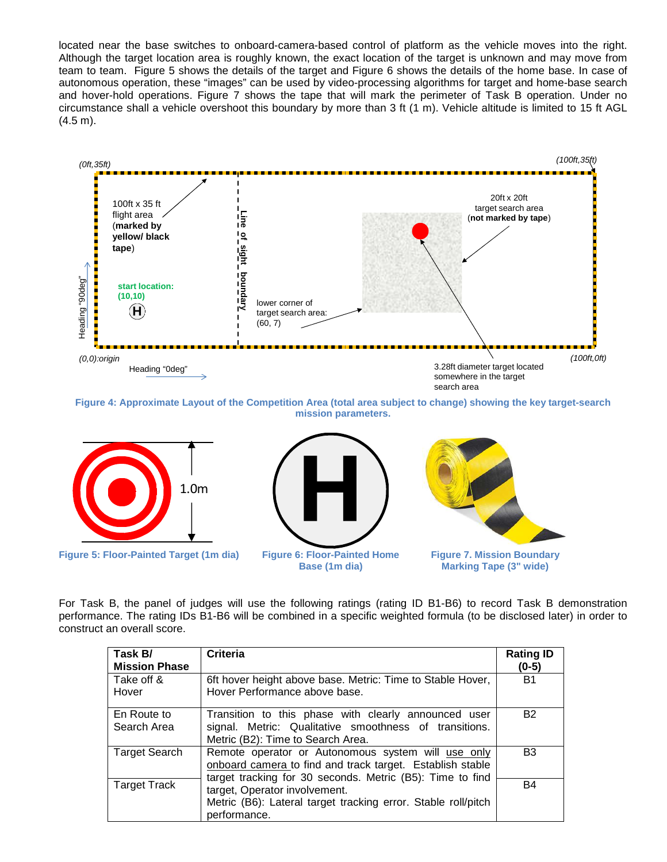located near the base switches to onboard-camera-based control of platform as the vehicle moves into the right. Although the target location area is roughly known, the exact location of the target is unknown and may move from team to team. [Figure 5](#page-3-1) shows the details of the targetand [Figure 6](#page-3-2) shows the details of the home base. In case of autonomous operation, these "images" can be used by video-processing algorithms for target and home-base search and hover-hold operations. [Figure 7](#page-3-3) shows the tape that will mark the perimeter of Task B operation. Under no circumstance shall a vehicle overshoot this boundary by more than 3 ft (1 m). Vehicle altitude is limited to 15 ft AGL (4.5 m).



<span id="page-3-0"></span>**Figure 4: Approximate Layout of the Competition Area (total area subject to change) showing the key target-search mission parameters.**



<span id="page-3-1"></span>**Figure 5: Floor-Painted Target (1m dia) Figure 6: Floor-Painted Home**

<span id="page-3-2"></span>

<span id="page-3-3"></span>

**Figure 7. Mission Boundary Marking Tape (3" wide)**

For Task B, the panel of judges will use the following ratings (rating ID B1-B6) to record Task B demonstration performance. The rating IDs B1-B6 will be combined in a specific weighted formula (to be disclosed later) in order to construct an overall score.

| Task B/<br><b>Mission Phase</b> | <b>Criteria</b>                                                                                                                                                              | <b>Rating ID</b><br>$(0-5)$ |
|---------------------------------|------------------------------------------------------------------------------------------------------------------------------------------------------------------------------|-----------------------------|
| Take off &<br>Hover             | 6ft hover height above base. Metric: Time to Stable Hover,<br>Hover Performance above base.                                                                                  | <b>B1</b>                   |
| En Route to<br>Search Area      | Transition to this phase with clearly announced user<br>signal. Metric: Qualitative smoothness of transitions.<br>Metric (B2): Time to Search Area.                          | <b>B2</b>                   |
| <b>Target Search</b>            | Remote operator or Autonomous system will use only<br>onboard camera to find and track target. Establish stable<br>target tracking for 30 seconds. Metric (B5): Time to find | B <sub>3</sub>              |
| <b>Target Track</b>             | target, Operator involvement.<br>Metric (B6): Lateral target tracking error. Stable roll/pitch<br>performance.                                                               | B4                          |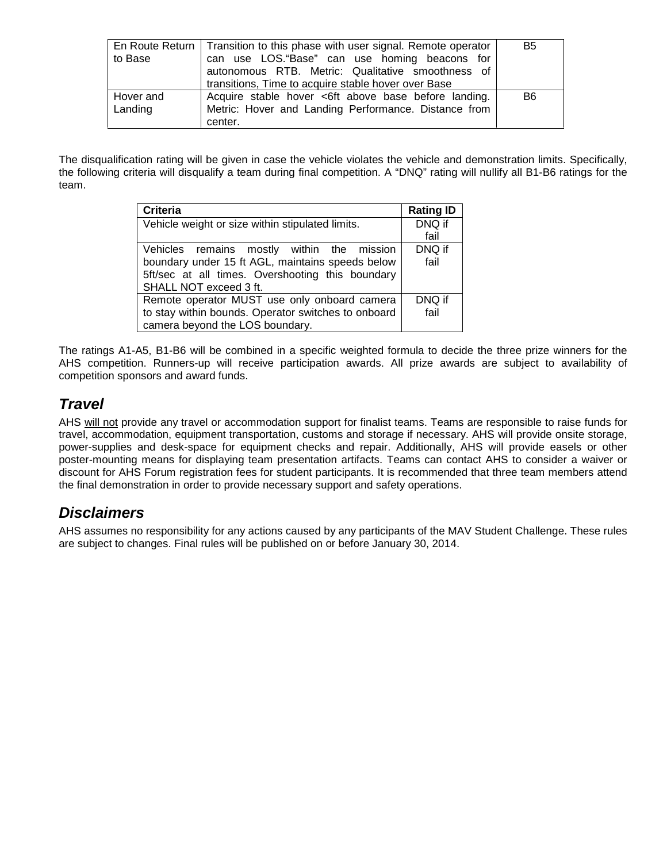| to Base              | En Route Return   Transition to this phase with user signal. Remote operator<br>can use LOS."Base" can use homing beacons for<br>autonomous RTB. Metric: Qualitative smoothness of<br>transitions, Time to acquire stable hover over Base | B5 |
|----------------------|-------------------------------------------------------------------------------------------------------------------------------------------------------------------------------------------------------------------------------------------|----|
| Hover and<br>Landing | Acquire stable hover <6ft above base before landing.<br>Metric: Hover and Landing Performance. Distance from<br>center.                                                                                                                   | B6 |

The disqualification rating will be given in case the vehicle violates the vehicle and demonstration limits. Specifically, the following criteria will disqualify a team during final competition. A "DNQ" rating will nullify all B1-B6 ratings for the team.

| <b>Criteria</b>                                     | <b>Rating ID</b> |
|-----------------------------------------------------|------------------|
| Vehicle weight or size within stipulated limits.    | DNQ if           |
|                                                     | fail             |
| Vehicles remains mostly within the mission          | DNQ if           |
| boundary under 15 ft AGL, maintains speeds below    | fail             |
| 5ft/sec at all times. Overshooting this boundary    |                  |
| SHALL NOT exceed 3 ft.                              |                  |
| Remote operator MUST use only onboard camera        | DNQ if           |
| to stay within bounds. Operator switches to onboard | fail             |
| camera beyond the LOS boundary.                     |                  |

The ratings A1-A5, B1-B6 will be combined in a specific weighted formula to decide the three prize winners for the AHS competition. Runners-up will receive participation awards. All prize awards are subject to availability of competition sponsors and award funds.

### *Travel*

AHS will not provide any travel or accommodation support for finalist teams. Teams are responsible to raise funds for travel, accommodation, equipment transportation, customs and storage if necessary. AHS will provide onsite storage, power-supplies and desk-space for equipment checks and repair. Additionally, AHS will provide easels or other poster-mounting means for displaying team presentation artifacts. Teams can contact AHS to consider a waiver or discount for AHS Forum registration fees for student participants. It is recommended that three team members attend the final demonstration in order to provide necessary support and safety operations.

#### *Disclaimers*

AHS assumes no responsibility for any actions caused by any participants of the MAV Student Challenge. These rules are subject to changes. Final rules will be published on or before January 30, 2014.